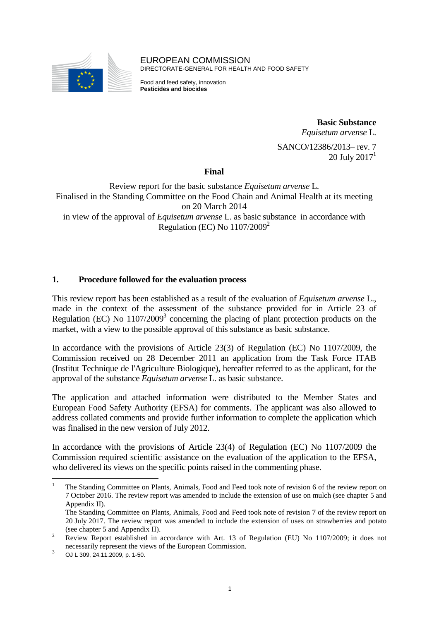

EUROPEAN COMMISSION DIRECTORATE-GENERAL FOR HEALTH AND FOOD SAFETY

Food and feed safety, innovation **Pesticides and biocides**

> **Basic Substance** *Equisetum arvense* L.

SANCO/12386/2013– rev. 7 20 July  $2017<sup>1</sup>$ 

### **Final**

Review report for the basic substance *Equisetum arvense* L. Finalised in the Standing Committee on the Food Chain and Animal Health at its meeting on 20 March 2014 in view of the approval of *Equisetum arvense* L. as basic substance in accordance with Regulation (EC) No  $1107/2009^2$ 

### **1. Procedure followed for the evaluation process**

This review report has been established as a result of the evaluation of *Equisetum arvense* L., made in the context of the assessment of the substance provided for in Article 23 of Regulation (EC) No  $1107/2009<sup>3</sup>$  concerning the placing of plant protection products on the market, with a view to the possible approval of this substance as basic substance.

In accordance with the provisions of Article 23(3) of Regulation (EC) No 1107/2009, the Commission received on 28 December 2011 an application from the Task Force ITAB (Institut Technique de l'Agriculture Biologique), hereafter referred to as the applicant, for the approval of the substance *Equisetum arvense* L. as basic substance.

The application and attached information were distributed to the Member States and European Food Safety Authority (EFSA) for comments. The applicant was also allowed to address collated comments and provide further information to complete the application which was finalised in the new version of July 2012.

In accordance with the provisions of Article 23(4) of Regulation (EC) No 1107/2009 the Commission required scientific assistance on the evaluation of the application to the EFSA, who delivered its views on the specific points raised in the commenting phase.

-

<sup>1</sup> The Standing Committee on Plants, Animals, Food and Feed took note of revision 6 of the review report on 7 October 2016. The review report was amended to include the extension of use on mulch (see chapter 5 and Appendix II).

The Standing Committee on Plants, Animals, Food and Feed took note of revision 7 of the review report on 20 July 2017. The review report was amended to include the extension of uses on strawberries and potato (see chapter 5 and Appendix II).

<sup>&</sup>lt;sup>2</sup> Review Report established in accordance with Art. 13 of Regulation (EU) No 1107/2009; it does not necessarily represent the views of the European Commission.

 $3$  OJ L 309, 24.11.2009, p. 1-50.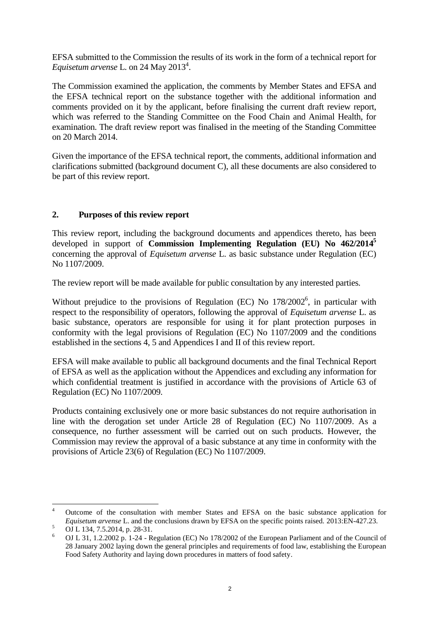EFSA submitted to the Commission the results of its work in the form of a technical report for *Equisetum arvense* L. on 24 May  $2013^4$ .

The Commission examined the application, the comments by Member States and EFSA and the EFSA technical report on the substance together with the additional information and comments provided on it by the applicant, before finalising the current draft review report, which was referred to the Standing Committee on the Food Chain and Animal Health, for examination. The draft review report was finalised in the meeting of the Standing Committee on 20 March 2014.

Given the importance of the EFSA technical report, the comments, additional information and clarifications submitted (background document C), all these documents are also considered to be part of this review report.

#### **2. Purposes of this review report**

This review report, including the background documents and appendices thereto, has been developed in support of **Commission Implementing Regulation (EU) No 462/2014 5** concerning the approval of *Equisetum arvense* L. as basic substance under Regulation (EC) No 1107/2009.

The review report will be made available for public consultation by any interested parties.

Without prejudice to the provisions of Regulation (EC) No 178/2002<sup>6</sup>, in particular with respect to the responsibility of operators, following the approval of *Equisetum arvense* L. as basic substance, operators are responsible for using it for plant protection purposes in conformity with the legal provisions of Regulation (EC) No 1107/2009 and the conditions established in the sections 4, 5 and Appendices I and II of this review report.

EFSA will make available to public all background documents and the final Technical Report of EFSA as well as the application without the Appendices and excluding any information for which confidential treatment is justified in accordance with the provisions of Article 63 of Regulation (EC) No 1107/2009.

Products containing exclusively one or more basic substances do not require authorisation in line with the derogation set under Article 28 of Regulation (EC) No 1107/2009. As a consequence, no further assessment will be carried out on such products. However, the Commission may review the approval of a basic substance at any time in conformity with the provisions of Article 23(6) of Regulation (EC) No 1107/2009.

 $\overline{A}$ <sup>4</sup> Outcome of the consultation with member States and EFSA on the basic substance application for *Equisetum arvense* L. and the conclusions drawn by EFSA on the specific points raised. 2013:EN-427.23.

 $\frac{5}{6}$  OJ L 134, 7.5.2014, p. 28-31.

<sup>6</sup> OJ L 31, 1.2.2002 p. 1-24 - Regulation (EC) No 178/2002 of the European Parliament and of the Council of 28 January 2002 laying down the general principles and requirements of food law, establishing the European Food Safety Authority and laying down procedures in matters of food safety.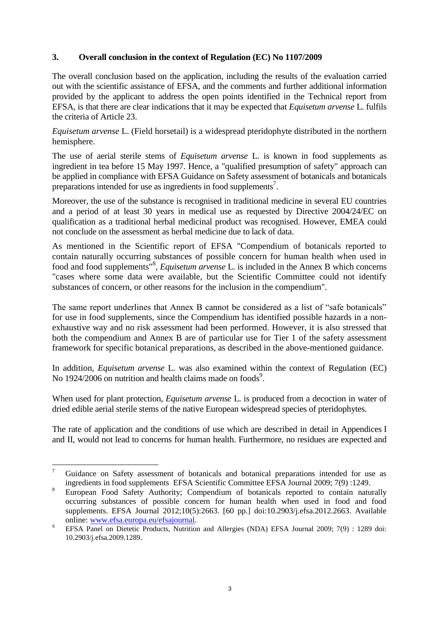#### **3. Overall conclusion in the context of Regulation (EC) No 1107/2009**

The overall conclusion based on the application, including the results of the evaluation carried out with the scientific assistance of EFSA, and the comments and further additional information provided by the applicant to address the open points identified in the Technical report from EFSA, is that there are clear indications that it may be expected that *Equisetum arvense* L. fulfils the criteria of Article 23.

*Equisetum arvense* L. (Field horsetail) is a widespread pteridophyte distributed in the northern hemisphere.

The use of aerial sterile stems of *Equisetum arvense* L. is known in food supplements as ingredient in tea before 15 May 1997. Hence, a "qualified presumption of safety" approach can be applied in compliance with EFSA Guidance on Safety assessment of botanicals and botanicals preparations intended for use as ingredients in food supplements<sup>7</sup>.

Moreover, the use of the substance is recognised in traditional medicine in several EU countries and a period of at least 30 years in medical use as requested by Directive 2004/24/EC on qualification as a traditional herbal medicinal product was recognised. However, EMEA could not conclude on the assessment as herbal medicine due to lack of data.

As mentioned in the Scientific report of EFSA "Compendium of botanicals reported to contain naturally occurring substances of possible concern for human health when used in food and food supplements"<sup>8</sup> , *Equisetum arvense* L. is included in the Annex B which concerns "cases where some data were available, but the Scientific Committee could not identify substances of concern, or other reasons for the inclusion in the compendium".

The same report underlines that Annex B cannot be considered as a list of "safe botanicals" for use in food supplements, since the Compendium has identified possible hazards in a nonexhaustive way and no risk assessment had been performed. However, it is also stressed that both the compendium and Annex B are of particular use for Tier 1 of the safety assessment framework for specific botanical preparations, as described in the above-mentioned guidance.

In addition, *Equisetum arvense* L. was also examined within the context of Regulation (EC) No 1924/2006 on nutrition and health claims made on foods<sup>9</sup>.

When used for plant protection, *Equisetum arvense* L. is produced from a decoction in water of dried edible aerial sterile stems of the native European widespread species of pteridophytes.

The rate of application and the conditions of use which are described in detail in Appendices I and II, would not lead to concerns for human health. Furthermore, no residues are expected and

<u>.</u>

<sup>7</sup> Guidance on Safety assessment of botanicals and botanical preparations intended for use as ingredients in food supplements EFSA Scientific Committee EFSA Journal 2009; 7(9) :1249.

<sup>8</sup> European Food Safety Authority; Compendium of botanicals reported to contain naturally occurring substances of possible concern for human health when used in food and food supplements. EFSA Journal 2012;10(5):2663. [60 pp.] doi:10.2903/j.efsa.2012.2663. Available online: [www.efsa.europa.eu/efsajournal.](http://www.efsa.europa.eu/efsajournal)

<sup>9</sup> EFSA Panel on Dietetic Products, Nutrition and Allergies (NDA) EFSA Journal 2009; 7(9) : 1289 doi: 10.2903/j.efsa.2009.1289.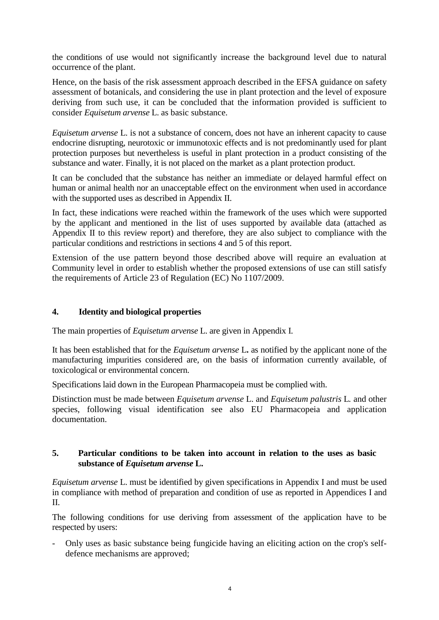the conditions of use would not significantly increase the background level due to natural occurrence of the plant.

Hence, on the basis of the risk assessment approach described in the EFSA guidance on safety assessment of botanicals, and considering the use in plant protection and the level of exposure deriving from such use, it can be concluded that the information provided is sufficient to consider *Equisetum arvense* L. as basic substance.

*Equisetum arvense* L. is not a substance of concern, does not have an inherent capacity to cause endocrine disrupting, neurotoxic or immunotoxic effects and is not predominantly used for plant protection purposes but nevertheless is useful in plant protection in a product consisting of the substance and water. Finally, it is not placed on the market as a plant protection product.

It can be concluded that the substance has neither an immediate or delayed harmful effect on human or animal health nor an unacceptable effect on the environment when used in accordance with the supported uses as described in Appendix II.

In fact, these indications were reached within the framework of the uses which were supported by the applicant and mentioned in the list of uses supported by available data (attached as Appendix II to this review report) and therefore, they are also subject to compliance with the particular conditions and restrictions in sections 4 and 5 of this report.

Extension of the use pattern beyond those described above will require an evaluation at Community level in order to establish whether the proposed extensions of use can still satisfy the requirements of Article 23 of Regulation (EC) No 1107/2009.

#### **4. Identity and biological properties**

The main properties of *Equisetum arvense* L. are given in Appendix I.

It has been established that for the *Equisetum arvense* L**.** as notified by the applicant none of the manufacturing impurities considered are, on the basis of information currently available, of toxicological or environmental concern.

Specifications laid down in the European Pharmacopeia must be complied with.

Distinction must be made between *Equisetum arvense* L. and *Equisetum palustris* L*.* and other species, following visual identification see also EU Pharmacopeia and application documentation.

#### **5. Particular conditions to be taken into account in relation to the uses as basic substance of** *Equisetum arvense* **L.**

*Equisetum arvense* L. must be identified by given specifications in Appendix I and must be used in compliance with method of preparation and condition of use as reported in Appendices I and II.

The following conditions for use deriving from assessment of the application have to be respected by users:

- Only uses as basic substance being fungicide having an eliciting action on the crop's selfdefence mechanisms are approved;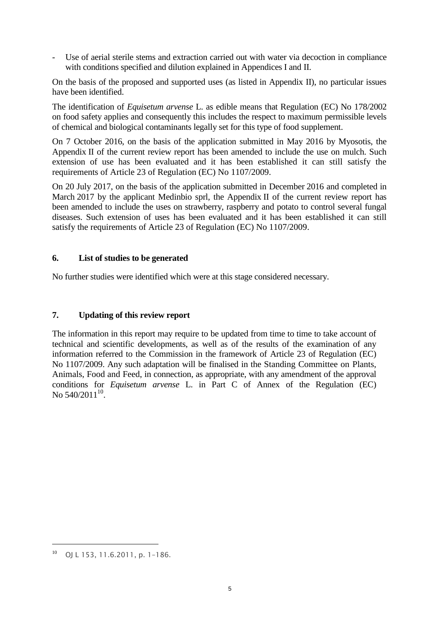Use of aerial sterile stems and extraction carried out with water via decoction in compliance with conditions specified and dilution explained in Appendices I and II.

On the basis of the proposed and supported uses (as listed in Appendix II), no particular issues have been identified.

The identification of *Equisetum arvense* L. as edible means that Regulation (EC) No 178/2002 on food safety applies and consequently this includes the respect to maximum permissible levels of chemical and biological contaminants legally set for this type of food supplement.

On 7 October 2016, on the basis of the application submitted in May 2016 by Myosotis, the Appendix II of the current review report has been amended to include the use on mulch. Such extension of use has been evaluated and it has been established it can still satisfy the requirements of Article 23 of Regulation (EC) No 1107/2009.

On 20 July 2017, on the basis of the application submitted in December 2016 and completed in March 2017 by the applicant Medinbio sprl, the Appendix II of the current review report has been amended to include the uses on strawberry, raspberry and potato to control several fungal diseases. Such extension of uses has been evaluated and it has been established it can still satisfy the requirements of Article 23 of Regulation (EC) No 1107/2009.

#### **6. List of studies to be generated**

No further studies were identified which were at this stage considered necessary.

#### **7. Updating of this review report**

The information in this report may require to be updated from time to time to take account of technical and scientific developments, as well as of the results of the examination of any information referred to the Commission in the framework of Article 23 of Regulation (EC) No 1107/2009. Any such adaptation will be finalised in the Standing Committee on Plants, Animals, Food and Feed, in connection, as appropriate, with any amendment of the approval conditions for *Equisetum arvense* L. in Part C of Annex of the Regulation (EC) No 540/2011 $^{10}$ .

1

<sup>10</sup> OJ L 153, 11.6.2011, p. 1–186.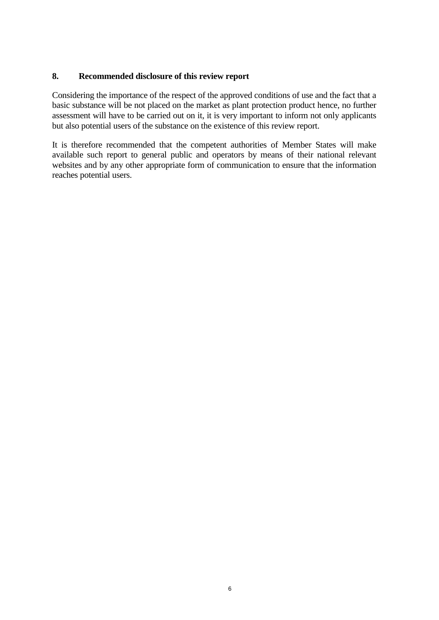#### **8. Recommended disclosure of this review report**

Considering the importance of the respect of the approved conditions of use and the fact that a basic substance will be not placed on the market as plant protection product hence, no further assessment will have to be carried out on it, it is very important to inform not only applicants but also potential users of the substance on the existence of this review report.

It is therefore recommended that the competent authorities of Member States will make available such report to general public and operators by means of their national relevant websites and by any other appropriate form of communication to ensure that the information reaches potential users.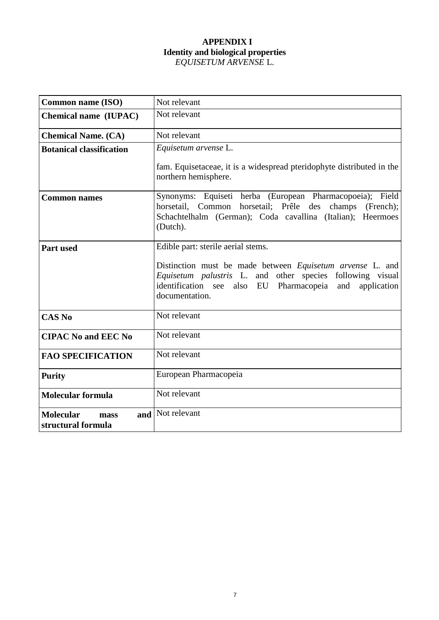## **APPENDIX I Identity and biological properties** *EQUISETUM ARVENSE* L.

| <b>Common name (ISO)</b>                       | Not relevant                                                                                                                                                                                                        |
|------------------------------------------------|---------------------------------------------------------------------------------------------------------------------------------------------------------------------------------------------------------------------|
| Chemical name (IUPAC)                          | Not relevant                                                                                                                                                                                                        |
| <b>Chemical Name. (CA)</b>                     | Not relevant                                                                                                                                                                                                        |
| <b>Botanical classification</b>                | Equisetum arvense L.                                                                                                                                                                                                |
|                                                | fam. Equisetaceae, it is a widespread pteridophyte distributed in the<br>northern hemisphere.                                                                                                                       |
| <b>Common names</b>                            | Synonyms: Equiseti herba (European Pharmacopoeia); Field<br>horsetail, Common horsetail; Prêle des champs (French);<br>Schachtelhalm (German); Coda cavallina (Italian); Heermoes<br>(Dutch).                       |
| <b>Part used</b>                               | Edible part: sterile aerial stems.                                                                                                                                                                                  |
|                                                | Distinction must be made between <i>Equisetum arvense</i> L. and<br>Equisetum palustris L. and other species following visual<br>identification see<br>also EU Pharmacopeia<br>and<br>application<br>documentation. |
| <b>CAS No</b>                                  | Not relevant                                                                                                                                                                                                        |
| <b>CIPAC No and EEC No</b>                     | Not relevant                                                                                                                                                                                                        |
| <b>FAO SPECIFICATION</b>                       | Not relevant                                                                                                                                                                                                        |
| <b>Purity</b>                                  | European Pharmacopeia                                                                                                                                                                                               |
| <b>Molecular formula</b>                       | Not relevant                                                                                                                                                                                                        |
| <b>Molecular</b><br>mass<br>structural formula | and   Not relevant                                                                                                                                                                                                  |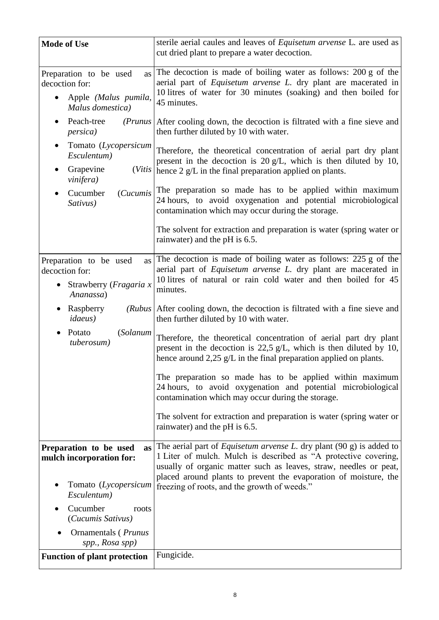| <b>Mode of Use</b>                                                                                         | sterile aerial caules and leaves of <i>Equisetum arvense</i> L. are used as<br>cut dried plant to prepare a water decoction.                                                                                                                                                               |
|------------------------------------------------------------------------------------------------------------|--------------------------------------------------------------------------------------------------------------------------------------------------------------------------------------------------------------------------------------------------------------------------------------------|
| Preparation to be used<br>as<br>decoction for:<br>Apple (Malus pumila,<br>Malus domestica)                 | The decoction is made of boiling water as follows: 200 g of the<br>aerial part of <i>Equisetum arvense L</i> . dry plant are macerated in<br>10 litres of water for 30 minutes (soaking) and then boiled for<br>45 minutes.                                                                |
| Peach-tree<br><i>persica</i> )                                                                             | ( <i>Prunus</i> After cooling down, the decoction is filtrated with a fine sieve and<br>then further diluted by 10 with water.                                                                                                                                                             |
| Tomato (Lycopersicum<br>$\bullet$<br>Esculentum)                                                           | Therefore, the theoretical concentration of aerial part dry plant<br>present in the decoction is $20 g/L$ , which is then diluted by 10,                                                                                                                                                   |
| Grapevine<br>vinifera)                                                                                     | $(Vitis \vert$ hence 2 g/L in the final preparation applied on plants.                                                                                                                                                                                                                     |
| (Cucumis<br>Cucumber<br>Sativus)                                                                           | The preparation so made has to be applied within maximum<br>24 hours, to avoid oxygenation and potential microbiological<br>contamination which may occur during the storage.                                                                                                              |
|                                                                                                            | The solvent for extraction and preparation is water (spring water or<br>rainwater) and the pH is 6.5.                                                                                                                                                                                      |
| Preparation to be used<br>as<br>decoction for:<br>Strawberry ( <i>Fragaria x</i><br>$\bullet$<br>Ananassa) | The decoction is made of boiling water as follows: 225 g of the<br>aerial part of <i>Equisetum arvense L</i> . dry plant are macerated in<br>10 litres of natural or rain cold water and then boiled for 45<br>minutes.                                                                    |
| Raspberry<br><i>idaeus</i> )                                                                               | (Rubus After cooling down, the decoction is filtrated with a fine sieve and<br>then further diluted by 10 with water.                                                                                                                                                                      |
| <i>(Solanum</i><br>Potato<br>tuberosum)                                                                    | Therefore, the theoretical concentration of aerial part dry plant<br>present in the decoction is $22.5$ g/L, which is then diluted by 10,<br>hence around $2.25$ g/L in the final preparation applied on plants.                                                                           |
|                                                                                                            | The preparation so made has to be applied within maximum<br>24 hours, to avoid oxygenation and potential microbiological<br>contamination which may occur during the storage.                                                                                                              |
|                                                                                                            | The solvent for extraction and preparation is water (spring water or<br>rainwater) and the pH is 6.5.                                                                                                                                                                                      |
| Preparation to be used<br><b>as</b><br>mulch incorporation for:                                            | The aerial part of <i>Equisetum arvense L</i> . dry plant $(90 g)$ is added to<br>1 Liter of mulch. Mulch is described as "A protective covering,<br>usually of organic matter such as leaves, straw, needles or peat,<br>placed around plants to prevent the evaporation of moisture, the |
| Tomato (Lycopersicum<br>Esculentum)                                                                        | freezing of roots, and the growth of weeds."                                                                                                                                                                                                                                               |
| Cucumber<br>roots<br>(Cucumis Sativus)                                                                     |                                                                                                                                                                                                                                                                                            |
| Ornamentals ( <i>Prunus</i><br>spp., Rosa spp)                                                             |                                                                                                                                                                                                                                                                                            |
| <b>Function of plant protection</b>                                                                        | Fungicide.                                                                                                                                                                                                                                                                                 |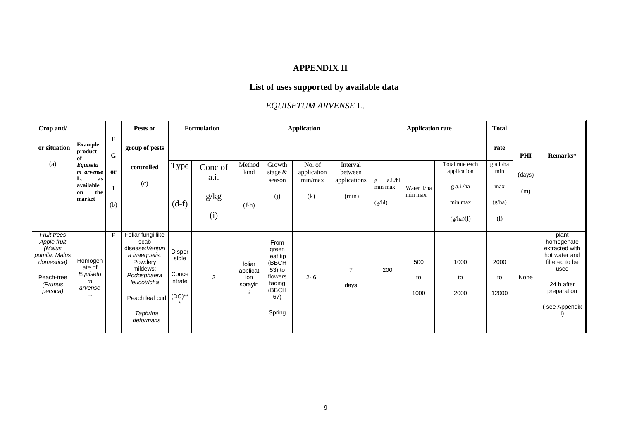# **APPENDIX II**

# **List of uses supported by available data**

# *EQUISETUM ARVENSE* L.

| Crop and/                                                                                                |                                               |                             | Pests or                                                                                                                                                        |                                                 | <b>Formulation</b> |                                           |                                                                                             | <b>Application</b>    |                        |                         | <b>Application rate</b> |                                | <b>Total</b>        |        |                                                                                                                                     |
|----------------------------------------------------------------------------------------------------------|-----------------------------------------------|-----------------------------|-----------------------------------------------------------------------------------------------------------------------------------------------------------------|-------------------------------------------------|--------------------|-------------------------------------------|---------------------------------------------------------------------------------------------|-----------------------|------------------------|-------------------------|-------------------------|--------------------------------|---------------------|--------|-------------------------------------------------------------------------------------------------------------------------------------|
| or situation                                                                                             | <b>Example</b><br>product<br>of               | $\mathbf{F}$<br>$\mathbf G$ | group of pests                                                                                                                                                  |                                                 |                    |                                           |                                                                                             |                       |                        |                         |                         |                                | rate                | PHI    | Remarks*                                                                                                                            |
| $\left( a\right)$                                                                                        | Equisetu<br>m arvense                         | or                          | controlled                                                                                                                                                      | Type                                            | Conc of            | Method<br>kind                            | Growth<br>stage $\&$                                                                        | No. of<br>application | Interval<br>between    |                         |                         | Total rate each<br>application | g a.i./ha<br>min    | (days) |                                                                                                                                     |
|                                                                                                          | L.<br>as<br>available<br>the<br>on            |                             | (c)                                                                                                                                                             |                                                 | a.i.               |                                           | season                                                                                      | min/max               | applications           | a.i./hl<br>g<br>min max | Water 1/ha<br>min max   | g a.i./ha                      | max                 | (m)    |                                                                                                                                     |
|                                                                                                          | market                                        | (b)                         |                                                                                                                                                                 | $(d-f)$                                         | g/kg               | $(f-h)$                                   | (i)                                                                                         | (k)                   | (min)                  | (g/hl)                  |                         | min max                        | (g/ha)              |        |                                                                                                                                     |
|                                                                                                          |                                               |                             |                                                                                                                                                                 |                                                 | (i)                |                                           |                                                                                             |                       |                        |                         |                         | (g/ha)(l)                      | (1)                 |        |                                                                                                                                     |
| Fruit trees<br>Apple fruit<br>(Malus<br>pumila, Malus<br>domestica)<br>Peach-tree<br>(Prunus<br>persica) | Homogen<br>ate of<br>Equisetu<br>m<br>arvense | $F_{\rm}$                   | Foliar fungi like<br>scab<br>disease: Venturi<br>a inaequalis,<br>Powdery<br>mildews:<br>Podosphaera<br>leucotricha<br>Peach leaf curl<br>Taphrina<br>deformans | Disper<br>sible<br>Conce<br>ntrate<br>$(DC)$ ** | $\overline{2}$     | foliar<br>applicat<br>ion<br>sprayin<br>g | From<br>green<br>leaf tip<br>(BBCH<br>53) to<br>flowers<br>fading<br>(BBCH<br>67)<br>Spring | $2 - 6$               | $\overline{7}$<br>days | 200                     | 500<br>to<br>1000       | 1000<br>to<br>2000             | 2000<br>to<br>12000 | None   | plant<br>homogenate<br>extracted with<br>hot water and<br>filtered to be<br>used<br>24 h after<br>preparation<br>(see Appendix<br>Ð |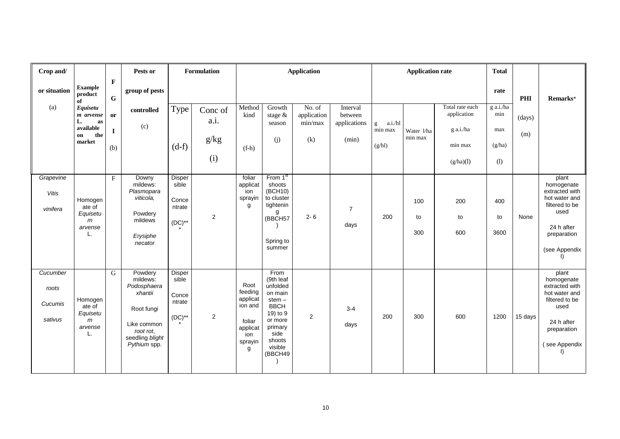| Crop and/                               |                                                     |                           | Pests or                                                                                                                   |                                                        | Formulation     |                                                                                     |                                                                                                                                               | <b>Application</b>               |                                     |                   | <b>Application rate</b> |                                             | <b>Total</b>              |         |                                                                                                                                                |
|-----------------------------------------|-----------------------------------------------------|---------------------------|----------------------------------------------------------------------------------------------------------------------------|--------------------------------------------------------|-----------------|-------------------------------------------------------------------------------------|-----------------------------------------------------------------------------------------------------------------------------------------------|----------------------------------|-------------------------------------|-------------------|-------------------------|---------------------------------------------|---------------------------|---------|------------------------------------------------------------------------------------------------------------------------------------------------|
| or situation                            | <b>Example</b><br>product<br>of                     | $\mathbf{F}$<br>${\bf G}$ | group of pests                                                                                                             |                                                        |                 |                                                                                     |                                                                                                                                               |                                  |                                     |                   |                         |                                             | rate                      | PHI     | Remarks*                                                                                                                                       |
| (a)                                     | Equisetu<br>m arvense<br>L.<br>as<br>available      | <b>or</b>                 | controlled<br>(c)                                                                                                          | Type                                                   | Conc of<br>a.i. | Method<br>kind                                                                      | Growth<br>stage $\&$<br>season                                                                                                                | No. of<br>application<br>min/max | Interval<br>between<br>applications | a.i./hl<br>g      |                         | Total rate each<br>application<br>g a.i./ha | $g$ a.i./ha<br>min<br>max | (days)  |                                                                                                                                                |
|                                         | the<br>on<br>market                                 | I<br>(b)                  |                                                                                                                            | $(d-f)$                                                | g/kg            | $(f-h)$                                                                             | (i)                                                                                                                                           | (k)                              | (min)                               | min max<br>(g/hl) | Water 1/ha<br>min max   | min max                                     | (g/ha)                    | (m)     |                                                                                                                                                |
|                                         |                                                     |                           |                                                                                                                            |                                                        | (i)             |                                                                                     |                                                                                                                                               |                                  |                                     |                   |                         | (g/ha)(l)                                   | (1)                       |         |                                                                                                                                                |
| Grapevine<br><b>Vitis</b><br>vinifera   | Homogen<br>ate of<br>Equisetu<br>m<br>arvense       | F                         | Downy<br>mildews:<br>Plasmopara<br>viticola,<br>Powdery<br>mildews<br>Erysiphe<br>necator                                  | <b>Disper</b><br>sible<br>Conce<br>ntrate<br>$(DC)$ ** | $\overline{2}$  | foliar<br>applicat<br>ion<br>sprayin<br>g                                           | From 1 <sup>st</sup><br>shoots<br>(BCH10)<br>to cluster<br>tightenin<br>g<br>(BBCH57<br>Spring to<br>summer                                   | $2 - 6$                          | $\overline{7}$<br>days              | 200               | 100<br>to<br>300        | 200<br>to<br>600                            | 400<br>to<br>3600         | None    | plant<br>homogenate<br>extracted with<br>hot water and<br>filtered to be<br>used<br>24 h after<br>preparation<br>(see Appendix<br>$\mathsf{I}$ |
| Cucumber<br>roots<br>Cucumis<br>sativus | Homogen<br>ate of<br>Equisetu<br>m<br>arvense<br>L. | G                         | Powdery<br>mildews:<br>Podosphaera<br>xhantii<br>Root fungi<br>Like common<br>root rot.<br>seedling blight<br>Pythium spp. | Disper<br>sible<br>Conce<br>ntrate<br>$(DC)$ **        | $\overline{2}$  | Root<br>feeding<br>applicat<br>ion and<br>foliar<br>applicat<br>ion<br>sprayin<br>g | From<br>(9th leaf<br>unfolded<br>on main<br>stem $-$<br><b>BBCH</b><br>19) to 9<br>or more<br>primary<br>side<br>shoots<br>visible<br>(BBCH49 | 2                                | $3 - 4$<br>days                     | 200               | 300                     | 600                                         | 1200                      | 15 days | plant<br>homogenate<br>extracted with<br>hot water and<br>filtered to be<br>used<br>24 h after<br>preparation<br>see Appendix<br>$\vert$       |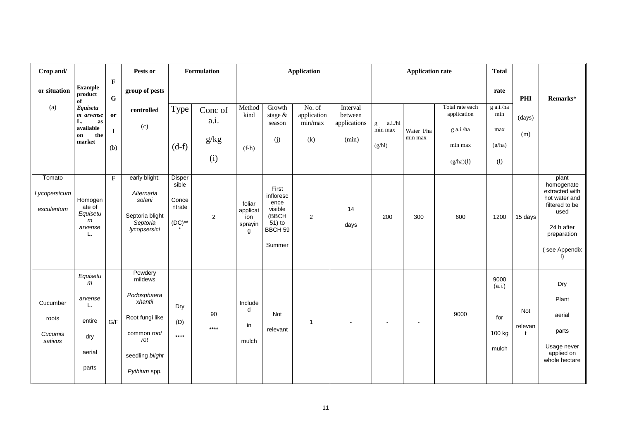| Crop and/                               |                                                                    |                            | Pests or                                                                                                                 |                                                 | Formulation    |                                           |                                                                               | <b>Application</b>    |                     |                                                                                                                                                                                                                                                                                                                                                                                                                                                      | <b>Application rate</b> |                                | <b>Total</b>                             |                     |                                                                                                                                      |
|-----------------------------------------|--------------------------------------------------------------------|----------------------------|--------------------------------------------------------------------------------------------------------------------------|-------------------------------------------------|----------------|-------------------------------------------|-------------------------------------------------------------------------------|-----------------------|---------------------|------------------------------------------------------------------------------------------------------------------------------------------------------------------------------------------------------------------------------------------------------------------------------------------------------------------------------------------------------------------------------------------------------------------------------------------------------|-------------------------|--------------------------------|------------------------------------------|---------------------|--------------------------------------------------------------------------------------------------------------------------------------|
| or situation                            | <b>Example</b><br>product<br>of                                    | $\mathbf F$<br>$\mathbf G$ | group of pests                                                                                                           |                                                 |                |                                           |                                                                               |                       |                     |                                                                                                                                                                                                                                                                                                                                                                                                                                                      |                         |                                | rate                                     | PHI                 | Remarks*                                                                                                                             |
| (a)                                     | Equisetu<br>m arvense                                              | or                         | controlled                                                                                                               | Type                                            | Conc of        | Method<br>kind                            | Growth<br>stage $\&$                                                          | No. of<br>application | Interval<br>between |                                                                                                                                                                                                                                                                                                                                                                                                                                                      |                         | Total rate each<br>application | $g \overline{a.i/ha}$<br>min             | (days)              |                                                                                                                                      |
|                                         | L.<br>as<br>available<br>the<br>on                                 | $\mathbf I$                | (c)                                                                                                                      |                                                 | a.i.           |                                           | season                                                                        | min/max               | applications        | a.i./hl<br>$\mathbf{g}% _{T}=\mathbf{g}_{T}=\mathbf{g}_{T}=\mathbf{g}_{T}=\mathbf{g}_{T}=\mathbf{g}_{T}=\mathbf{g}_{T}=\mathbf{g}_{T}=\mathbf{g}_{T}=\mathbf{g}_{T}=\mathbf{g}_{T}=\mathbf{g}_{T}=\mathbf{g}_{T}=\mathbf{g}_{T}=\mathbf{g}_{T}=\mathbf{g}_{T}=\mathbf{g}_{T}=\mathbf{g}_{T}=\mathbf{g}_{T}=\mathbf{g}_{T}=\mathbf{g}_{T}=\mathbf{g}_{T}=\mathbf{g}_{T}=\mathbf{g}_{T}=\mathbf{g}_{T}=\mathbf{g}_{T}=\mathbf{g}_{T}=\math$<br>min max | Water 1/ha              | g a.i./ha                      | max                                      | (m)                 |                                                                                                                                      |
|                                         | market                                                             | (b)                        |                                                                                                                          | $(d-f)$                                         | g/kg           | $(f-h)$                                   | (i)                                                                           | (k)                   | (min)               | (g/hl)                                                                                                                                                                                                                                                                                                                                                                                                                                               | min max                 | min max                        | (g/ha)                                   |                     |                                                                                                                                      |
|                                         |                                                                    |                            |                                                                                                                          |                                                 | (i)            |                                           |                                                                               |                       |                     |                                                                                                                                                                                                                                                                                                                                                                                                                                                      |                         | (g/ha)(l)                      | (1)                                      |                     |                                                                                                                                      |
| Tomato<br>Lycopersicum<br>esculentum    | Homogen<br>ate of<br>Equisetu<br>m<br>arvense<br>L.                | $\mathbf F$                | early blight:<br>Alternaria<br>solani<br>Septoria blight<br>Septoria<br>lycopsersici                                     | Disper<br>sible<br>Conce<br>ntrate<br>$(DC)$ ** | $\overline{c}$ | foliar<br>applicat<br>ion<br>sprayin<br>g | First<br>infloresc<br>ence<br>visible<br>(BBCH<br>51) to<br>BBCH 59<br>Summer | 2                     | 14<br>days          | 200                                                                                                                                                                                                                                                                                                                                                                                                                                                  | 300                     | 600                            | 1200                                     | 15 days             | plant<br>homogenate<br>extracted with<br>hot water and<br>filtered to be<br>used<br>24 h after<br>preparation<br>(see Appendix<br>I) |
| Cucumber<br>roots<br>Cucumis<br>sativus | Equisetu<br>m<br>arvense<br>L.<br>entire<br>dry<br>aerial<br>parts | G/F                        | Powdery<br>mildews<br>Podosphaera<br>xhantii<br>Root fungi like<br>common root<br>rot<br>seedling blight<br>Pythium spp. | Dry<br>(D)<br>$****$                            | 90<br>$****$   | Include<br>d<br>in<br>mulch               | Not<br>relevant                                                               | $\mathbf{1}$          |                     |                                                                                                                                                                                                                                                                                                                                                                                                                                                      |                         | 9000                           | 9000<br>(a.i.)<br>for<br>100 kg<br>mulch | Not<br>relevan<br>t | Dry<br>Plant<br>aerial<br>parts<br>Usage never<br>applied on<br>whole hectare                                                        |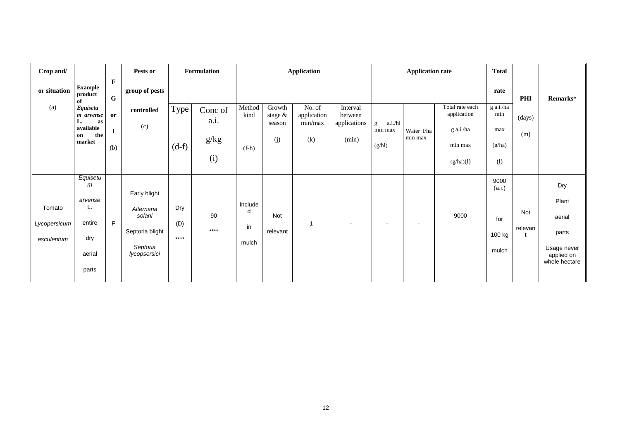| Crop and/    |                                   |                          | Pests or                   |         | Formulation     |                |                      | <b>Application</b>    |                     |                          | <b>Application rate</b> |                                | <b>Total</b>     |         |                                            |
|--------------|-----------------------------------|--------------------------|----------------------------|---------|-----------------|----------------|----------------------|-----------------------|---------------------|--------------------------|-------------------------|--------------------------------|------------------|---------|--------------------------------------------|
| or situation | <b>Example</b><br>product<br>of   | $\mathbf F$<br>${\bf G}$ | group of pests             |         |                 |                |                      |                       |                     |                          |                         |                                | rate             | PHI     | Remarks*                                   |
| (a)          | Equisetu<br>m arvense<br>as<br>L. | <b>or</b>                | controlled                 | Type    | Conc of<br>a.i. | Method<br>kind | Growth<br>stage $\&$ | No. of<br>application | Interval<br>between |                          |                         | Total rate each<br>application | g a.i./ha<br>min | (days)  |                                            |
|              | available<br>the<br>on            |                          | (c)                        |         |                 |                | season               | min/max               | applications        | a.i./hl<br>g<br>min max  | Water 1/ha<br>min max   | g a.i./ha                      | max              | (m)     |                                            |
|              | market                            | (b)                      |                            | $(d-f)$ | g/kg            | $(f-h)$        | (j)                  | (k)                   | (min)               | (g/hl)                   |                         | min max                        | (g/ha)           |         |                                            |
|              |                                   |                          |                            |         | (i)             |                |                      |                       |                     |                          |                         | (g/ha)(l)                      | (1)              |         |                                            |
|              | Equisetu<br>m                     |                          |                            |         |                 |                |                      |                       |                     |                          |                         |                                | 9000<br>(a.i.)   |         | Dry                                        |
| Tomato       | arvense<br>L.                     |                          | Early blight<br>Alternaria | Dry     |                 | Include<br>d   |                      |                       |                     |                          |                         |                                |                  | Not     | Plant                                      |
| Lycopersicum | entire                            | F                        | solani                     | (D)     | 90<br>$****$    | in             | Not<br>relevant      | $\overline{1}$        |                     | $\overline{\phantom{a}}$ |                         | 9000                           | for              | relevan | aerial                                     |
| esculentum   | dry                               |                          | Septoria blight            | $***$   |                 | mulch          |                      |                       |                     |                          |                         |                                | 100 kg           |         | parts                                      |
|              | aerial                            |                          | Septoria<br>lycopsersici   |         |                 |                |                      |                       |                     |                          |                         |                                | mulch            |         | Usage never<br>applied on<br>whole hectare |
|              | parts                             |                          |                            |         |                 |                |                      |                       |                     |                          |                         |                                |                  |         |                                            |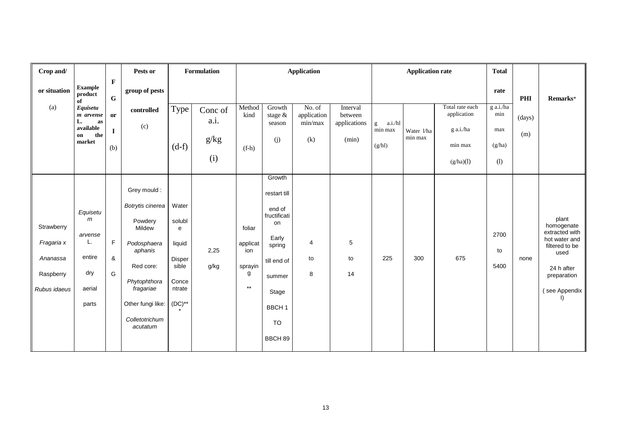| Crop and/    |                                   |                            | Pests or                    |                 | <b>Formulation</b> | <b>Application</b> |                                |                                  |                                     |                         | <b>Application rate</b> |                                | <b>Total</b>       |        |                                         |
|--------------|-----------------------------------|----------------------------|-----------------------------|-----------------|--------------------|--------------------|--------------------------------|----------------------------------|-------------------------------------|-------------------------|-------------------------|--------------------------------|--------------------|--------|-----------------------------------------|
| or situation | <b>Example</b><br>product<br>of   | $\mathbf F$<br>$\mathbf G$ | group of pests              |                 |                    |                    |                                |                                  |                                     |                         |                         |                                | rate               | PHI    | Remarks*                                |
| (a)          | Equisetu<br>m arvense<br>L.<br>as | or                         | controlled<br>(c)           | Type            | Conc of<br>a.i.    | Method<br>kind     | Growth<br>stage $\&$<br>season | No. of<br>application<br>min/max | Interval<br>between<br>applications | a.i./hl<br>$\mathbf{g}$ |                         | Total rate each<br>application | $g$ a.i./ha<br>min | (days) |                                         |
|              | available<br>the<br>on<br>market  | $\mathbf I$<br>(b)         |                             | $(d-f)$         | g/kg               | $(f-h)$            | (j)                            | (k)                              | (min)                               | min max<br>(g/hl)       | Water 1/ha<br>min max   | g a.i./ha<br>min max           | max<br>(g/ha)      | (m)    |                                         |
|              |                                   |                            |                             |                 | (i)                |                    |                                |                                  |                                     |                         |                         | (g/ha)(l)                      | (1)                |        |                                         |
|              |                                   |                            | Grey mould :                |                 |                    |                    | Growth<br>restart till         |                                  |                                     |                         |                         |                                |                    |        |                                         |
|              | Equisetu<br>m                     |                            | Botrytis cinerea<br>Powdery | Water<br>solubl |                    |                    | end of<br>fructificati<br>on   |                                  |                                     |                         |                         |                                |                    |        | plant                                   |
| Strawberry   | arvense                           |                            | Mildew                      | $\mathbf{e}$    |                    | foliar             |                                |                                  |                                     |                         |                         |                                | 2700               |        | homogenate<br>extracted with            |
| Fragaria x   | L.                                | F                          | Podosphaera<br>aphanis      | liquid          | 2,25               | applicat<br>ion    | Early<br>spring                | $\overline{4}$                   | 5                                   |                         |                         |                                | to                 |        | hot water and<br>filtered to be<br>used |
| Ananassa     | entire                            | &                          | Red core:                   | Disper<br>sible | g/kg               | sprayin            | till end of                    | to                               | to                                  | 225                     | 300                     | 675                            | 5400               | none   | 24 h after                              |
| Raspberry    | dry                               | G                          | Phytophthora                | Conce           |                    | g                  | summer                         | 8                                | 14                                  |                         |                         |                                |                    |        | preparation                             |
| Rubus idaeus | aerial                            |                            | fragariae                   | ntrate          |                    | $***$              | Stage                          |                                  |                                     |                         |                         |                                |                    |        | (see Appendix<br>I)                     |
|              | parts                             |                            | Other fungi like:           | $(DC)$ **       |                    |                    | BBCH <sub>1</sub>              |                                  |                                     |                         |                         |                                |                    |        |                                         |
|              |                                   |                            | Colletotrichum<br>acutatum  |                 |                    |                    | TO                             |                                  |                                     |                         |                         |                                |                    |        |                                         |
|              |                                   |                            |                             |                 |                    |                    | BBCH 89                        |                                  |                                     |                         |                         |                                |                    |        |                                         |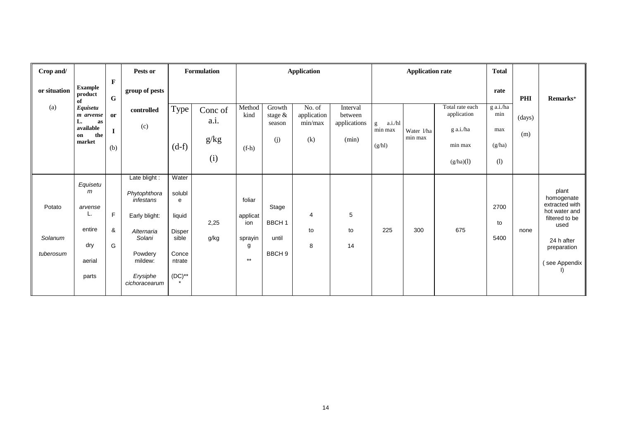| Crop and/    |                                          |                              | Pests or                  |                 | <b>Formulation</b> |                 |                      | <b>Application</b>    |                       |                         | <b>Application rate</b> |                                | <b>Total</b>     |        |                                 |
|--------------|------------------------------------------|------------------------------|---------------------------|-----------------|--------------------|-----------------|----------------------|-----------------------|-----------------------|-------------------------|-------------------------|--------------------------------|------------------|--------|---------------------------------|
| or situation | <b>Example</b><br>$\bold{product}$<br>of | $\mathbf{F}$<br>$\mathbf{G}$ | group of pests            |                 |                    |                 |                      |                       |                       |                         |                         |                                | rate             | PHI    | Remarks*                        |
| (a)          | Equisetu<br><i>m</i> arvense<br>L.<br>as | or                           | controlled                | Type            | Conc of<br>a.i.    | Method<br>kind  | Growth<br>stage $\&$ | No. of<br>application | Interval<br>between   |                         |                         | Total rate each<br>application | g a.i./ha<br>min | (days) |                                 |
|              | available<br>the<br>on                   | $\bf{I}$                     | (c)                       |                 | g/kg               |                 | season<br>(j)        | min/max<br>(k)        | applications<br>(min) | a.i./hl<br>g<br>min max | Water 1/ha<br>min max   | g a.i./ha                      | max              | (m)    |                                 |
|              | market                                   | (b)                          |                           | $(d-f)$         |                    | $(f-h)$         |                      |                       |                       | (g/hl)                  |                         | min max                        | (g/ha)           |        |                                 |
|              |                                          |                              |                           |                 | (i)                |                 |                      |                       |                       |                         |                         | (g/ha)(l)                      | (1)              |        |                                 |
|              |                                          |                              | Late blight:              | Water           |                    |                 |                      |                       |                       |                         |                         |                                |                  |        |                                 |
|              | Equisetu<br>m                            |                              | Phytophthora<br>infestans | solubl<br>e     |                    | foliar          |                      |                       |                       |                         |                         |                                |                  |        | plant<br>homogenate             |
| Potato       | arvense                                  |                              |                           |                 |                    |                 | Stage                |                       |                       |                         |                         |                                | 2700             |        | extracted with<br>hot water and |
|              | L.                                       | F                            | Early blight:             | liquid          | 2,25               | applicat<br>ion | BBCH <sub>1</sub>    | 4                     | 5                     |                         |                         |                                | to               |        | filtered to be<br>used          |
|              | entire                                   | &                            | Alternaria                | Disper          |                    |                 |                      | to                    | to                    | 225                     | 300                     | 675                            |                  | none   |                                 |
| Solanum      | dry                                      | G                            | Solani                    | sible           | g/kg               | sprayin<br>g    | until                | 8                     | 14                    |                         |                         |                                | 5400             |        | 24 h after                      |
| tuberosum    | aerial                                   |                              | Powdery<br>mildew:        | Conce<br>ntrate |                    | $***$           | BBCH <sub>9</sub>    |                       |                       |                         |                         |                                |                  |        | preparation<br>(see Appendix    |
|              | parts                                    |                              | Erysiphe<br>cichoracearum | $(DC)$ **       |                    |                 |                      |                       |                       |                         |                         |                                |                  |        | $\vert$                         |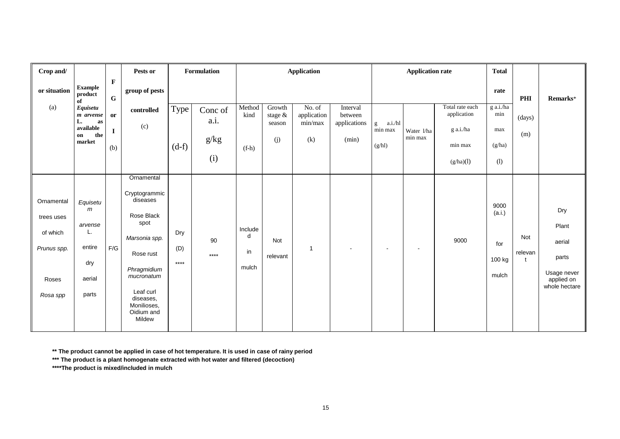| Crop and/                                           |                                          |                             | Pests or                                                         |            | Formulation |                | <b>Application</b>   |                       |                     |                               | <b>Application rate</b> | <b>Total</b>                   |                       |               |                                                     |
|-----------------------------------------------------|------------------------------------------|-----------------------------|------------------------------------------------------------------|------------|-------------|----------------|----------------------|-----------------------|---------------------|-------------------------------|-------------------------|--------------------------------|-----------------------|---------------|-----------------------------------------------------|
| or situation                                        | <b>Example</b><br>product<br>of          | $\mathbf{F}$<br>$\mathbf G$ | group of pests                                                   |            |             |                |                      |                       |                     |                               |                         |                                | rate                  | PHI           | Remarks*                                            |
| (a)                                                 | Equisetu<br>m arvense                    | or                          | controlled                                                       | Type       | Conc of     | Method<br>kind | Growth<br>stage $\&$ | No. of<br>application | Interval<br>between |                               |                         | Total rate each<br>application | $g$ a.i./ $ha$<br>min | (days)        |                                                     |
|                                                     | L.<br>as<br>available                    | $\mathbf I$                 | (c)                                                              |            | a.i.        |                | season               | min/max               | applications        | a.i./hl<br>g<br>$\min$ $\max$ | Water 1/ha              | g a.i./ha                      | max                   | (m)           |                                                     |
|                                                     | the<br>on<br>market                      | (b)                         |                                                                  | $(d-f)$    | g/kg        | $(f-h)$        | (j)                  | (k)                   | (min)               | (g/hl)                        | min max                 | min max                        | (g/ha)                |               |                                                     |
|                                                     |                                          |                             |                                                                  |            | (i)         |                |                      |                       |                     |                               |                         | (g/ha)(l)                      | (1)                   |               |                                                     |
|                                                     |                                          |                             | Ornamental                                                       |            |             |                |                      |                       |                     |                               |                         |                                |                       |               |                                                     |
| Ornamental<br>trees uses<br>of which<br>Prunus spp. | Equisetu<br>m<br>arvense<br>L.<br>entire | F/G                         | Cryptogrammic<br>diseases<br>Rose Black<br>spot<br>Marsonia spp. | Dry<br>(D) | 90          | Include<br>d   | Not                  | $\mathbf{1}$          |                     | $\blacksquare$                |                         | 9000                           | 9000<br>(a.i.)<br>for | Not           | Dry<br>Plant<br>aerial                              |
| Roses                                               | dry<br>aerial                            |                             | Rose rust<br>Phragmidium<br>mucronatum                           | $****$     | $****$      | in<br>mulch    | relevant             |                       |                     |                               |                         |                                | 100 kg<br>mulch       | relevan<br>Ť. | parts<br>Usage never<br>applied on<br>whole hectare |
| Rosa spp                                            | parts                                    |                             | Leaf curl<br>diseases,<br>Monilioses,<br>Oidium and<br>Mildew    |            |             |                |                      |                       |                     |                               |                         |                                |                       |               |                                                     |

**\*\* The product cannot be applied in case of hot temperature. It is used in case of rainy period**

**\*\*\* The product is a plant homogenate extracted with hot water and filtered (decoction)**

**\*\*\*\*The product is mixed/included in mulch**